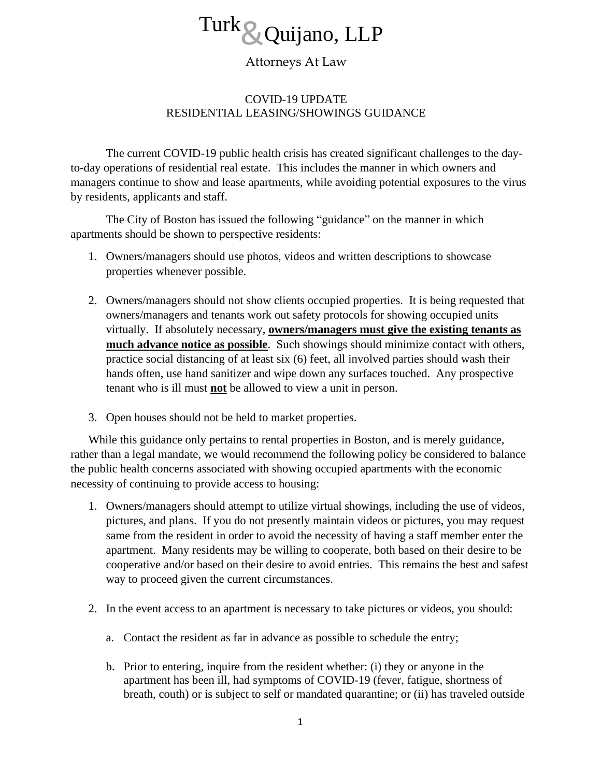

## Attorneys At Law

## COVID-19 UPDATE RESIDENTIAL LEASING/SHOWINGS GUIDANCE

The current COVID-19 public health crisis has created significant challenges to the dayto-day operations of residential real estate. This includes the manner in which owners and managers continue to show and lease apartments, while avoiding potential exposures to the virus by residents, applicants and staff.

The City of Boston has issued the following "guidance" on the manner in which apartments should be shown to perspective residents:

- 1. Owners/managers should use photos, videos and written descriptions to showcase properties whenever possible.
- 2. Owners/managers should not show clients occupied properties. It is being requested that owners/managers and tenants work out safety protocols for showing occupied units virtually. If absolutely necessary, **owners/managers must give the existing tenants as much advance notice as possible**. Such showings should minimize contact with others, practice social distancing of at least six (6) feet, all involved parties should wash their hands often, use hand sanitizer and wipe down any surfaces touched. Any prospective tenant who is ill must **not** be allowed to view a unit in person.
- 3. Open houses should not be held to market properties.

While this guidance only pertains to rental properties in Boston, and is merely guidance, rather than a legal mandate, we would recommend the following policy be considered to balance the public health concerns associated with showing occupied apartments with the economic necessity of continuing to provide access to housing:

- 1. Owners/managers should attempt to utilize virtual showings, including the use of videos, pictures, and plans. If you do not presently maintain videos or pictures, you may request same from the resident in order to avoid the necessity of having a staff member enter the apartment. Many residents may be willing to cooperate, both based on their desire to be cooperative and/or based on their desire to avoid entries. This remains the best and safest way to proceed given the current circumstances.
- 2. In the event access to an apartment is necessary to take pictures or videos, you should:
	- a. Contact the resident as far in advance as possible to schedule the entry;
	- b. Prior to entering, inquire from the resident whether: (i) they or anyone in the apartment has been ill, had symptoms of COVID-19 (fever, fatigue, shortness of breath, couth) or is subject to self or mandated quarantine; or (ii) has traveled outside